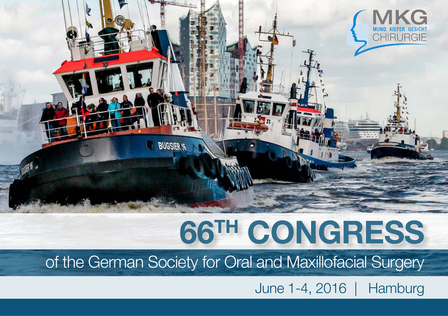

# **66TH CONGRESS**

of the German Society for Oral and Maxillofacial Surgery

June 1-4, 2016 | Hamburg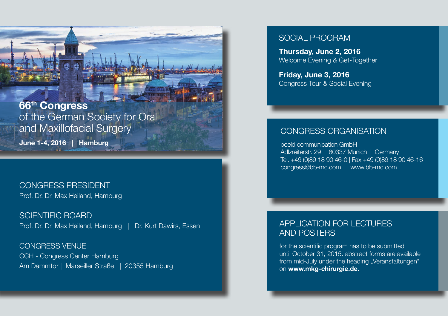**66th Congress** of the German Society for Oral and Maxillofacial Surgery

**June 1-4, 2016 | Hamburg**

# CONGRESS PRESIDENT Prof. Dr. Dr. Max Heiland, Hamburg

SCIENTIFIC BOARD Prof. Dr. Dr. Max Heiland, Hamburg | Dr. Kurt Dawirs, Essen

CONGRESS VENUE CCH - Congress Center Hamburg Am Dammtor | Marseiller Straße | 20355 Hamburg

### SOCIAL PROGRAM

**Thursday, June 2, 2016** Welcome Evening & Get-Together

**Friday, June 3, 2016** Congress Tour & Social Evening

### CONGRESS ORGANISATION

boeld communication GmbH Adlzreiterstr. 29 | 80337 Munich | Germany Tel. +49 (0)89 18 90 46-0 | Fax +49 (0)89 18 90 46-16 congress@bb-mc.com | www.bb-mc.com

# APPLICATION FOR LECTURES AND POSTERS

for the scientific program has to be submitted until October 31, 2015. abstract forms are available from mid-July under the heading "Veranstaltungen" on **www.mkg-chirurgie.de.**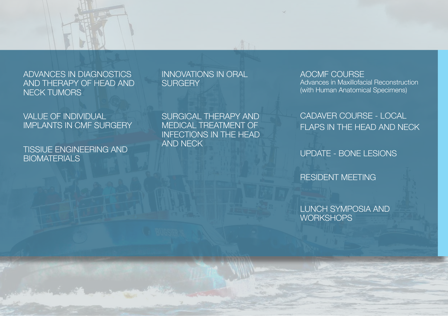# ADVANCES IN DIAGNOSTICS AND THERAPY OF HEAD AND NECK TUMORS

VALUE OF INDIVIDUAL IMPLANTS IN CMF SURGERY

TISSIUE ENGINEERING AND **BIOMATERIALS** 

#### INNOVATIONS IN ORAL **SURGERY**

SURGICAL THERAPY AND MEDICAL TREATMENT OF INFECTIONS IN THE HEAD AND NECK

#### AOCMF COURSE Advances in Maxillofacial Reconstruction (with Human Anatomical Specimens)

CADAVER COURSE - LOCAL FLAPS IN THE HEAD AND NECK

UPDATE - BONE LESIONS

RESIDENT MEETING

LUNCH SYMPOSIA AND **WORKSHOPS**